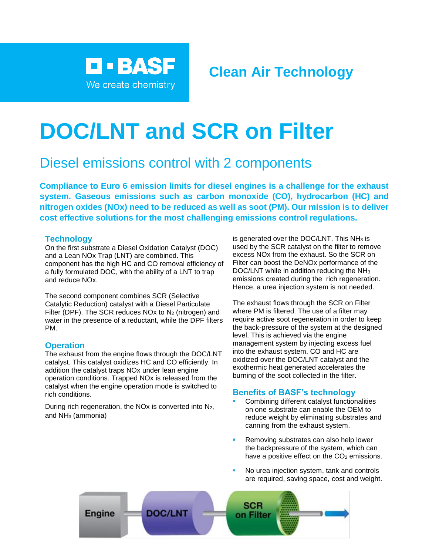

# **DOC/LNT and SCR on Filter**

# Diesel emissions control with 2 components

**Compliance to Euro 6 emission limits for diesel engines is a challenge for the exhaust system. Gaseous emissions such as carbon monoxide (CO), hydrocarbon (HC) and nitrogen oxides (NOx) need to be reduced as well as soot (PM). Our mission is to deliver cost effective solutions for the most challenging emissions control regulations.**

### **Technology**

On the first substrate a Diesel Oxidation Catalyst (DOC) and a Lean NOx Trap (LNT) are combined. This component has the high HC and CO removal efficiency of a fully formulated DOC, with the ability of a LNT to trap and reduce NOx.

The second component combines SCR (Selective Catalytic Reduction) catalyst with a Diesel Particulate Filter (DPF). The SCR reduces  $NOx$  to  $N<sub>2</sub>$  (nitrogen) and water in the presence of a reductant, while the DPF filters PM.

## **Operation**

The exhaust from the engine flows through the DOC/LNT catalyst. This catalyst oxidizes HC and CO efficiently. In addition the catalyst traps NOx under lean engine operation conditions. Trapped NOx is released from the catalyst when the engine operation mode is switched to rich conditions.

During rich regeneration, the NO<sub>x</sub> is converted into  $N_2$ , and NH<sup>3</sup> (ammonia)

is generated over the DOC/LNT. This  $NH<sub>3</sub>$  is used by the SCR catalyst on the filter to remove excess NOx from the exhaust. So the SCR on Filter can boost the DeNOx performance of the DOC/LNT while in addition reducing the NH<sup>3</sup> emissions created during the rich regeneration. Hence, a urea injection system is not needed.

The exhaust flows through the SCR on Filter where PM is filtered. The use of a filter may require active soot regeneration in order to keep the back-pressure of the system at the designed level. This is achieved via the engine management system by injecting excess fuel into the exhaust system. CO and HC are oxidized over the DOC/LNT catalyst and the exothermic heat generated accelerates the burning of the soot collected in the filter.

#### **Benefits of BASF's technology**

- Combining different catalyst functionalities on one substrate can enable the OEM to reduce weight by eliminating substrates and canning from the exhaust system.
- Removing substrates can also help lower the backpressure of the system, which can have a positive effect on the  $CO<sub>2</sub>$  emissions.
- No urea injection system, tank and controls are required, saving space, cost and weight.